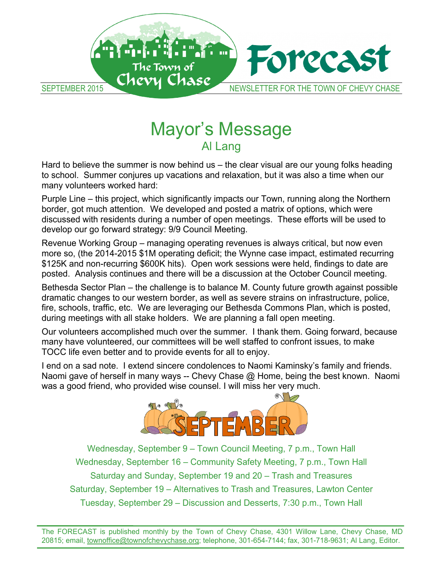

#### Mayor's Message  $\Delta$ Hand us – the summer is now behind us – the clear visual are our  $\Delta$ to school. Summer conjures up vacations and relaxation, but it was also a time when our Al Lang

Hard to believe the summer is now behind us - the clear visual are our young folks heading to school. Summer conjures up vacations and relaxation, but it was also a time when our many volunteers worked hard: which were and posted and posted a matrix of options, which were also been also been and posted a matrix of options, which were also been also been also been also been also been also been also

Purple Line – this project, which significantly impacts our Town, running along the Northern develope and who project, much eigence and posted a matrix of options, which were border, got much attention. We developed and posted a matrix of options, which were discussed with residents during a number of open meetings. These efforts will be used to develop our go forward strategy: 9/9 Council Meeting.

Revenue Working Group – managing operating revenues is always critical, but now even revenue working or oup intendiging operating revenues is always onlical, but here even<br>more so, (the 2014-2015 \$1M operating deficit; the Wynne case impact, estimated recurring \$125K and non-recurring \$600K hits). Open work sessions were held, findings to date are posted. Analysis continues and there will be a discussion at the October Council meeting.

.<br>Bethesda Sector Plan – the challenge is to balance M. County future growth against possible Demosia Oetium man – me thanenge is to balante m. Obunty future growth<br>dramatic abanges to sur western border, es well es severe straine en infrestr fire, schools, traffic, etc. We are leveraging our Bethesda Commons Plan, which is posted, during meetings with all stake holders. We are planning a fall open meeting. dramatic changes to our western border, as well as severe strains on infrastructure, police,

Tococci life even between between the provide events for all to enjoy. many have volunteered, our committees will be well staffed to confront issues, to make TOCC life even better and to provide events for all to enjoy. Our volunteers accomplished much over the summer. I thank them. Going forward, because

was a good friend, who provided with the counsel. I will miss her very much miss her very much miss her very much. I end on a sad note. I extend sincere condolences to Naomi Kaminsky's family and friends. Naomi gave of herself in many ways -- Chevy Chase @ Home, being the best known. Naomi was a good friend, who provided wise counsel. I will miss her very much.



Wednesday, September 9 – Town Council Meeting, 7 p.m., Town Hall Wednesday, September 16 - Community Safety Meeting, 7 p.m., Town Hall Saturday and Sunday, September 19 and 20 – Trash and Treasures Tuesday, September 29 – Discussion and Desserts, 7:30 p.m., Town Hall  $20815$  for the state  $\frac{1}{201}$ ; the state  $\frac{1}{201}$  and  $\frac{1}{201}$  and  $\frac{1}{201}$ Saturday, September 19 – Alternatives to Trash and Treasures, Lawton Center

The FORECAST is published monthly by the Town of Chevy Chase, 4301 Willow Lane, Chevy Chase, MD 20815; email, *townoffice@townofchevychase.org*; telephone, 301-654-7144; fax, 301-718-9631; Al Lang, Editor.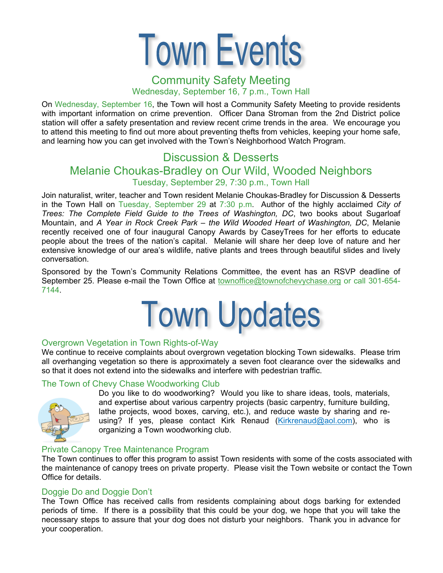

## Community Safety Meeting Wednesday, September 16, 7 p.m., Town Hall

On Wednesday, September 16, the Town will host a Community Safety Meeting to provide residents with important information on crime prevention. Officer Dana Stroman from the 2nd District police station will offer a safety presentation and review recent crime trends in the area. We encourage you to attend this meeting to find out more about preventing thefts from vehicles, keeping your home safe, and learning how you can get involved with the Town's Neighborhood Watch Program.

## Discussion & Desserts Melanie Choukas-Bradley on Our Wild, Wooded Neighbors Tuesday, September 29, 7:30 p.m., Town Hall

Join naturalist, writer, teacher and Town resident Melanie Choukas-Bradley for Discussion & Desserts in the Town Hall on Tuesday, September 29 at 7:30 p.m. Author of the highly acclaimed *City of Trees: The Complete Field Guide to the Trees of Washington, DC*, two books about Sugarloaf Mountain, and *A Year in Rock Creek Park – the Wild Wooded Heart of Washington, DC*, Melanie recently received one of four inaugural Canopy Awards by CaseyTrees for her efforts to educate people about the trees of the nation's capital. Melanie will share her deep love of nature and her extensive knowledge of our area's wildlife, native plants and trees through beautiful slides and lively conversation.

Sponsored by the Town's Community Relations Committee, the event has an RSVP deadline of September 25. Please e-mail the Town Office at townoffice@townofchevychase.org or call 301-654- 7144.



#### Overgrown Vegetation in Town Rights-of-Way

We continue to receive complaints about overgrown vegetation blocking Town sidewalks. Please trim all overhanging vegetation so there is approximately a seven foot clearance over the sidewalks and so that it does not extend into the sidewalks and interfere with pedestrian traffic.

#### The Town of Chevy Chase Woodworking Club



Do you like to do woodworking? Would you like to share ideas, tools, materials, and expertise about various carpentry projects (basic carpentry, furniture building, lathe projects, wood boxes, carving, etc.), and reduce waste by sharing and reusing? If yes, please contact Kirk Renaud (Kirkrenaud@aol.com), who is organizing a Town woodworking club.

#### Private Canopy Tree Maintenance Program

The Town continues to offer this program to assist Town residents with some of the costs associated with the maintenance of canopy trees on private property. Please visit the Town website or contact the Town Office for details.

#### Doggie Do and Doggie Don't

The Town Office has received calls from residents complaining about dogs barking for extended periods of time. If there is a possibility that this could be your dog, we hope that you will take the necessary steps to assure that your dog does not disturb your neighbors. Thank you in advance for your cooperation.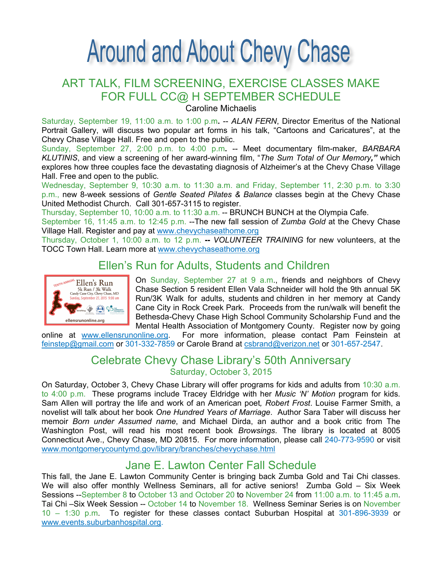# **Around and About Chevy Chase**

## ART TALK, FILM SCREENING, EXERCISE CLASSES MAKE FOR FULL CC@ H SEPTEMBER SCHEDULE

Caroline Michaelis

Saturday, September 19, 11:00 a.m. to 1:00 p.m. -- ALAN FERN, Director Emeritus of the National Portrait Gallery, will discuss two popular art forms in his talk, "Cartoons and Caricatures", at the Chevy Chase Village Hall. Free and open to the public.

Sunday, September 27, 2:00 p.m. to 4:00 p.m**.** -- Meet documentary film-maker, *BARBARA KLUTINIS*, and view a screening of her award-winning film, "*The Sum Total of Our Memory,"* which explores how three couples face the devastating diagnosis of Alzheimer's at the Chevy Chase Village Hall. Free and open to the public.

Wednesday, September 9, 10:30 a.m. to 11:30 a.m. and Friday, September 11, 2:30 p.m. to 3:30 p.m., new 8-week sessions of *Gentle Seated Pilates & Balance* classes begin at the Chevy Chase United Methodist Church. Call 301-657-3115 to register.

Thursday, September 10, 10:00 a.m. to 11:30 a.m. -- BRUNCH BUNCH at the Olympia Cafe.

September 16, 11:45 a.m. to 12:45 p.m. --The new fall session of *Zumba Gold* at the Chevy Chase Village Hall. Register and pay at www.chevychaseathome.org

Thursday, October 1, 10:00 a.m. to 12 p.m. **--** *VOLUNTEER TRAINING* for new volunteers, at the TOCC Town Hall. Learn more at www.chevychaseathome.org

## Ellen's Run for Adults, Students and Children



On Sunday, September 27 at 9 a.m., friends and neighbors of Chevy Chase Section 5 resident Ellen Vala Schneider will hold the 9th annual 5K Run/3K Walk for adults, students and children in her memory at Candy Cane City in Rock Creek Park. Proceeds from the run/walk will benefit the Bethesda-Chevy Chase High School Community Scholarship Fund and the

Mental Health Association of Montgomery County. Register now by going<br>online at www.ellensrunonline.org. For more information, please contact Pam Feinstein at For more information, please contact Pam Feinstein at feinstep@gmail.com or 301-332-7859 or Carole Brand at csbrand@verizon.net or 301-657-2547.

## Celebrate Chevy Chase Library's 50th Anniversary Saturday, October 3, 2015

On Saturday, October 3, Chevy Chase Library will offer programs for kids and adults from 10:30 a.m. to 4:00 p.m. These programs include Tracey Eldridge with her *Music 'N' Motion* program for kids*.* Sam Allen will portray the life and work of an American poet*, Robert Frost*. Louise Farmer Smith, a novelist will talk about her book *One Hundred Years of Marriage*. Author Sara Taber will discuss her memoir *Born under Assumed name*, and Michael Dirda, an author and a book critic from The Washington Post, will read his most recent book *Browsings*. The library is located at 8005 Connecticut Ave., Chevy Chase, MD 20815. For more information, please call 240-773-9590 or visit www.montgomerycountymd.gov/library/branches/chevychase.html

## Jane E. Lawton Center Fall Schedule

This fall, the Jane E. Lawton Community Center is bringing back Zumba Gold and Tai Chi classes. We will also offer monthly Wellness Seminars, all for active seniors! Zumba Gold – Six Week Sessions --September 8 to October 13 and October 20 to November 24 from 11:00 a.m. to 11:45 a.m. Tai Chi –Six Week Session -- October 14 to November 18. Wellness Seminar Series is on November 10 – 1:30 p.m. To register for these classes contact Suburban Hospital at 301-896-3939 or www.events.suburbanhospital.org.